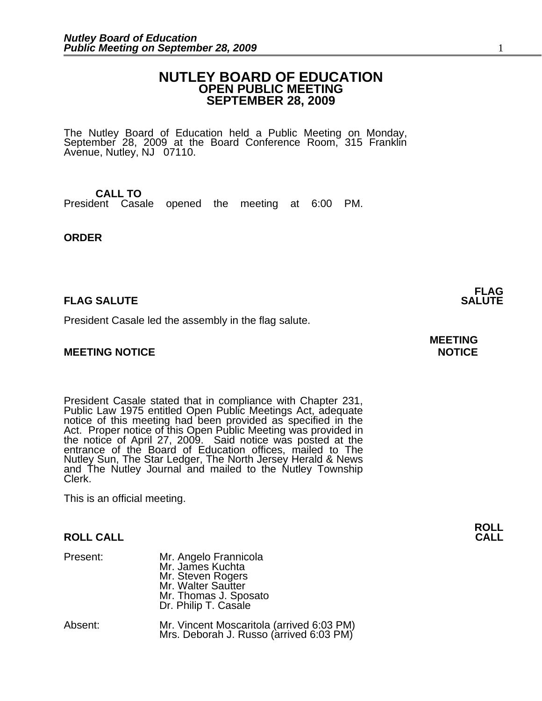# **NUTLEY BOARD OF EDUCATION OPEN PUBLIC MEETING SEPTEMBER 28, 2009**

The Nutley Board of Education held a Public Meeting on Monday, September 28, 2009 at the Board Conference Room, 315 Franklin Avenue, Nutley, NJ 07110.

# **CALL TO**

President Casale opened the meeting at 6:00 PM.

# **ORDER**

# **FLAG SALUTE**

President Casale led the assembly in the flag salute.

# **MEETING NOTICE NOTICE**

President Casale stated that in compliance with Chapter 231, Public Law 1975 entitled Open Public Meetings Act, adequate notice of this meeting had been provided as specified in the Act. Proper notice of this Open Public Meeting was provided in the notice of April 27, 2009. Said notice was posted at the entrance of the Board of Education offices, mailed to The Nutley Sun, The Star Ledger, The North Jersey Herald & News and The Nutley Journal and mailed to the Nutley Township Clerk.

This is an official meeting.

# **ROLL CALL CALL**

| Present: | Mr. Angelo Frannicola<br>Mr. James Kuchta<br>Mr. Steven Rogers<br>Mr. Walter Sautter<br>Mr. Thomas J. Sposato<br>Dr. Philip T. Casale |
|----------|---------------------------------------------------------------------------------------------------------------------------------------|
| Absent:  | Mr. Vincent Moscaritola (arrived 6:03 PM)                                                                                             |

Mrs. Deborah J. Russo (arrived 6:03 PM)

**FLAG**<br>**SALUTE** 

# **MEETING**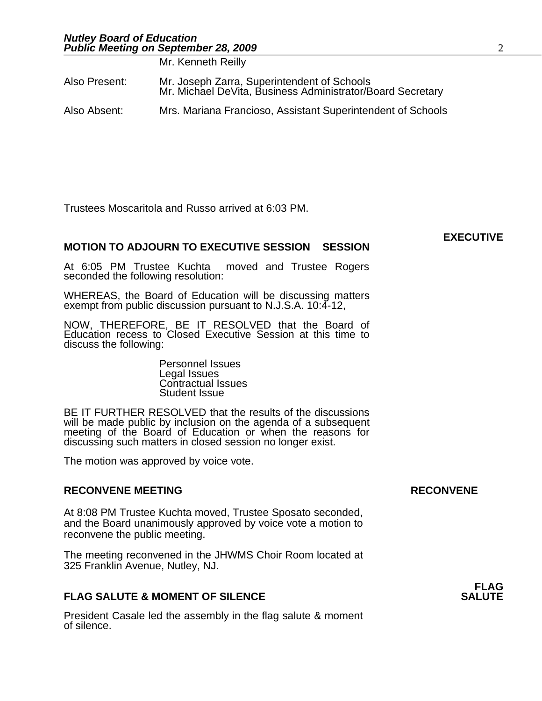Mr. Kenneth Reilly

|               | Mr. Kenneth Reliiv                                                                                        |
|---------------|-----------------------------------------------------------------------------------------------------------|
| Also Present: | Mr. Joseph Zarra, Superintendent of Schools<br>Mr. Michael DeVita, Business Administrator/Board Secretary |
| Also Absent:  | Mrs. Mariana Francioso, Assistant Superintendent of Schools                                               |

Trustees Moscaritola and Russo arrived at 6:03 PM.

# **MOTION TO ADJOURN TO EXECUTIVE SESSION SESSION**

At 6:05 PM Trustee Kuchta moved and Trustee Rogers seconded the following resolution:

WHEREAS, the Board of Education will be discussing matters exempt from public discussion pursuant to N.J.S.A. 10:4-12,

NOW, THEREFORE, BE IT RESOLVED that the Board of Education recess to Closed Executive Session at this time to discuss the following:

> Personnel Issues Legal Issues Contractual Issues Student Issue

BE IT FURTHER RESOLVED that the results of the discussions will be made public by inclusion on the agenda of a subsequent meeting of the Board of Education or when the reasons for discussing such matters in closed session no longer exist.

The motion was approved by voice vote.

# **RECONVENE MEETING RECONVENE**

At 8:08 PM Trustee Kuchta moved, Trustee Sposato seconded, and the Board unanimously approved by voice vote a motion to reconvene the public meeting.

The meeting reconvened in the JHWMS Choir Room located at 325 Franklin Avenue, Nutley, NJ.

# **FLAG SALUTE & MOMENT OF SILENCE**

President Casale led the assembly in the flag salute & moment of silence.

**FLAG**<br>**SALUTE** 

**EXECUTIVE**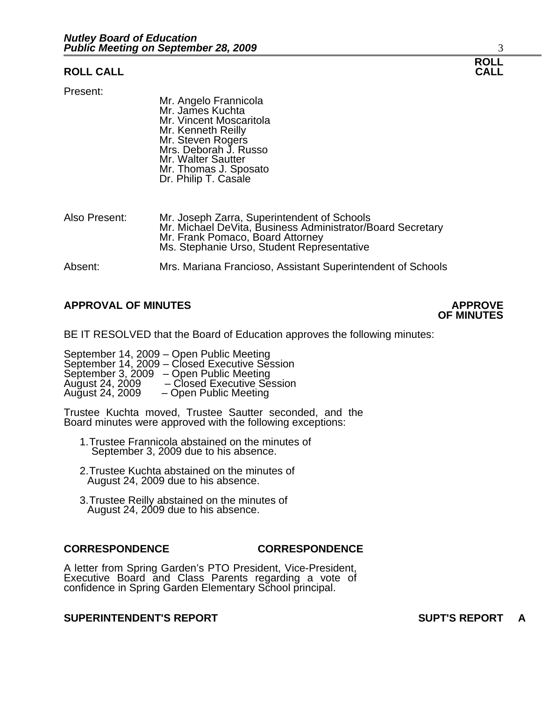# **ROLL CALL CALL**

Present:

Mr. Angelo Frannicola Mr. James Kuchta Mr. Vincent Moscaritola Mr. Kenneth Reilly Mr. Steven Rogers Mrs. Deborah J. Russo Mr. Walter Sautter Mr. Thomas J. Sposato Dr. Philip T. Casale

| Also Present: | Mr. Joseph Zarra, Superintendent of Schools<br>Mr. Michael DeVita, Business Administrator/Board Secretary<br>Mr. Frank Pomaco, Board Attorney<br>Ms. Stephanie Urso, Student Representative |
|---------------|---------------------------------------------------------------------------------------------------------------------------------------------------------------------------------------------|
| Absent:       | Mrs. Mariana Francioso, Assistant Superintendent of Schools                                                                                                                                 |

# **APPROVAL OF MINUTES APPROVE**

# **OF MINUTES**

BE IT RESOLVED that the Board of Education approves the following minutes:

September 14, 2009 – Open Public Meeting September 14, 2009 – Closed Executive Session September 3, 2009 – Open Public Meeting August 24, 2009 – Closed Executive Session August 24, 2009 – Open Public Meeting

Trustee Kuchta moved, Trustee Sautter seconded, and the Board minutes were approved with the following exceptions:

- 1.Trustee Frannicola abstained on the minutes of September 3, 2009 due to his absence.
- 2.Trustee Kuchta abstained on the minutes of August 24, 2009 due to his absence.
- 3.Trustee Reilly abstained on the minutes of August 24, 2009 due to his absence.

#### **CORRESPONDENCE CORRESPONDENCE**

A letter from Spring Garden's PTO President, Vice-President, Executive Board and Class Parents regarding a vote of confidence in Spring Garden Elementary School principal.

# **SUPERINTENDENT'S REPORT SUPT'S REPORT A**

# **ROLL**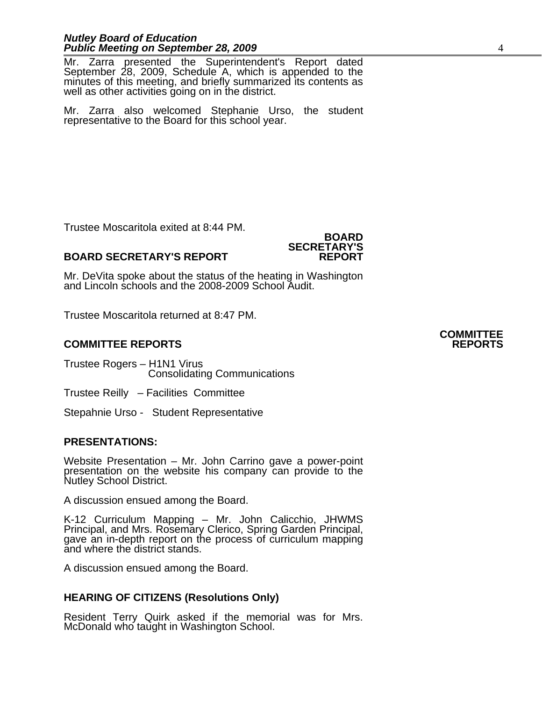Mr. Zarra presented the Superintendent's Report dated September 28, 2009, Schedule A, which is appended to the minutes of this meeting, and briefly summarized its contents as well as other activities going on in the district.

Mr. Zarra also welcomed Stephanie Urso, the student representative to the Board for this school year.

Trustee Moscaritola exited at 8:44 PM.

# **BOARD SECRETARY'S REPORT**

Mr. DeVita spoke about the status of the heating in Washington and Lincoln schools and the 2008-2009 School Audit.

**BOARD**

**SECRETARY'S**

Trustee Moscaritola returned at 8:47 PM.

# **COMMITTEE REPORTS REPORTS**

Trustee Rogers – H1N1 Virus Consolidating Communications

Trustee Reilly – Facilities Committee

Stepahnie Urso - Student Representative

# **PRESENTATIONS:**

Website Presentation – Mr. John Carrino gave a power-point presentation on the website his company can provide to the Nutley School District.

A discussion ensued among the Board.

K-12 Curriculum Mapping – Mr. John Calicchio, JHWMS Principal, and Mrs. Rosemary Clerico, Spring Garden Principal, gave an in-depth report on the process of curriculum mapping and where the district stands.

A discussion ensued among the Board.

# **HEARING OF CITIZENS (Resolutions Only)**

Resident Terry Quirk asked if the memorial was for Mrs. McDonald who taught in Washington School.

# **COMMITTEE**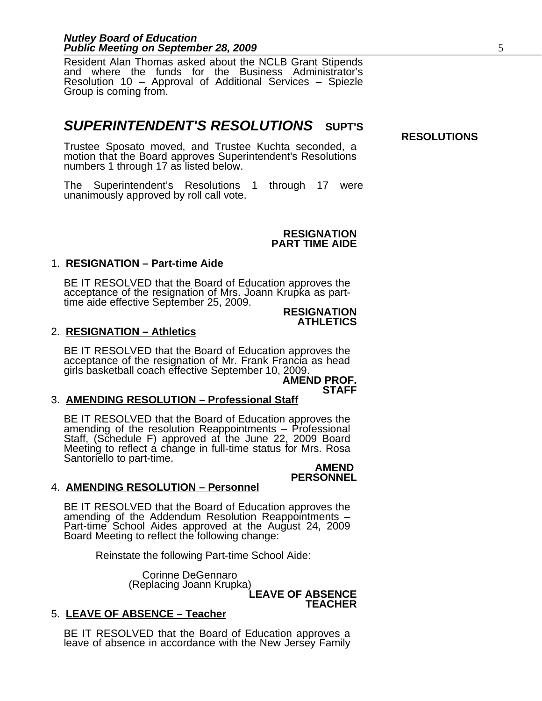Resident Alan Thomas asked about the NCLB Grant Stipends and where the funds for the Business Administrator's Resolution 10 – Approval of Additional Services – Spiezle Group is coming from.

# *SUPERINTENDENT'S RESOLUTIONS* **SUPT'S**

**RESOLUTIONS**

Trustee Sposato moved, and Trustee Kuchta seconded, a motion that the Board approves Superintendent's Resolutions numbers 1 through 17 as listed below.

The Superintendent's Resolutions 1 through 17 were unanimously approved by roll call vote.

#### **RESIGNATION PART TIME AIDE**

# 1. **RESIGNATION – Part-time Aide**

BE IT RESOLVED that the Board of Education approves the acceptance of the resignation of Mrs. Joann Krupka as parttime aide effective September 25, 2009.

#### **RESIGNATION ATHLETICS**

# 2. **RESIGNATION – Athletics**

BE IT RESOLVED that the Board of Education approves the acceptance of the resignation of Mr. Frank Francia as head girls basketball coach effective September 10, 2009.

**AMEND PROF. STAFF**

# 3. **AMENDING RESOLUTION – Professional Staff**

BE IT RESOLVED that the Board of Education approves the amending of the resolution Reappointments – Professional Staff, (Schedule F) approved at the June 22, 2009 Board Meeting to reflect a change in full-time status for Mrs. Rosa Santoriello to part-time.

#### **AMEND PERSONNEL**

# 4. **AMENDING RESOLUTION – Personnel**

BE IT RESOLVED that the Board of Education approves the amending of the Addendum Resolution Reappointments – Part-time School Aides approved at the August 24, 2009 Board Meeting to reflect the following change:

Reinstate the following Part-time School Aide:

 Corinne DeGennaro (Replacing Joann Krupka) **LEAVE OF ABSENCE**

**TEACHER**

# 5. **LEAVE OF ABSENCE – Teacher**

BE IT RESOLVED that the Board of Education approves a leave of absence in accordance with the New Jersey Family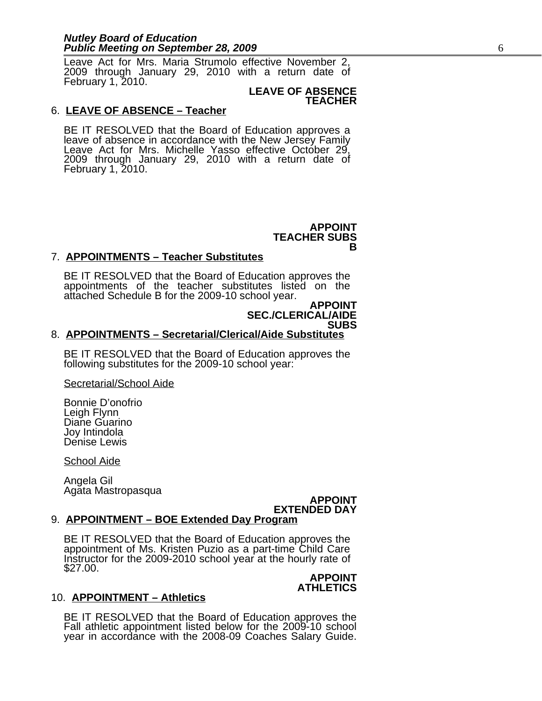Leave Act for Mrs. Maria Strumolo effective November 2, 2009 through January 29, 2010 with a return date of February 1, 2010.

#### **LEAVE OF ABSENCE TEACHER**

### 6. **LEAVE OF ABSENCE – Teacher**

BE IT RESOLVED that the Board of Education approves a leave of absence in accordance with the New Jersey Family Leave Act for Mrs. Michelle Yasso effective October 29, 2009 through January 29, 2010 with a return date of February 1, 2010.

> **APPOINT** TEACHER SUBS<br>B

# 7. **APPOINTMENTS – Teacher Substitutes**

BE IT RESOLVED that the Board of Education approves the appointments of the teacher substitutes listed on the attached Schedule B for the 2009-10 school year.

#### **APPOINT SEC./CLERICAL/AIDE SUBS**

# 8. **APPOINTMENTS – Secretarial/Clerical/Aide Substitutes**

BE IT RESOLVED that the Board of Education approves the following substitutes for the 2009-10 school year:

Secretarial/School Aide

Bonnie D'onofrio Leigh Flynn Diane Guarino Joy Intindola Denise Lewis

School Aide

Angela Gil Agata Mastropasqua

# **APPOINT EXTENDED DAY**

# 9. **APPOINTMENT – BOE Extended Day Program**

BE IT RESOLVED that the Board of Education approves the appointment of Ms. Kristen Puzio as a part-time Child Care Instructor for the 2009-2010 school year at the hourly rate of \$27.00.

# **APPOINT ATHLETICS**

# 10. **APPOINTMENT – Athletics**

BE IT RESOLVED that the Board of Education approves the Fall athletic appointment listed below for the 2009-10 school year in accordance with the 2008-09 Coaches Salary Guide.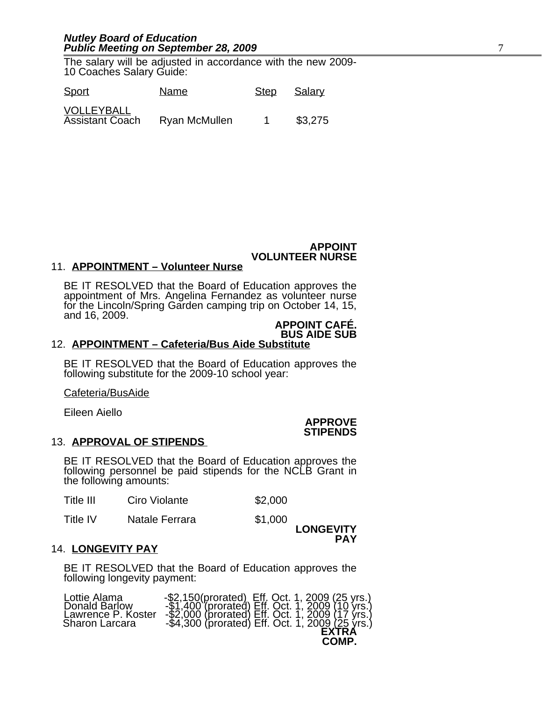The salary will be adjusted in accordance with the new 2009- 10 Coaches Salary Guide:

| <b>Sport</b>                         | Name          | Step | Salary  |
|--------------------------------------|---------------|------|---------|
| VOLLEYBALL<br><b>Assistant Coach</b> | Ryan McMullen |      | \$3,275 |

### **APPOINT VOLUNTEER NURSE**

### 11. **APPOINTMENT – Volunteer Nurse**

BE IT RESOLVED that the Board of Education approves the appointment of Mrs. Angelina Fernandez as volunteer nurse for the Lincoln/Spring Garden camping trip on October 14, 15, and 16, 2009.

# **APPOINT CAFÉ. BUS AIDE SUB**

# 12. **APPOINTMENT – Cafeteria/Bus Aide Substitute**

BE IT RESOLVED that the Board of Education approves the following substitute for the 2009-10 school year:

Cafeteria/BusAide

Eileen Aiello

#### **APPROVE STIPENDS**

#### 13. **APPROVAL OF STIPENDS**

BE IT RESOLVED that the Board of Education approves the following personnel be paid stipends for the NCLB Grant in the following amounts:

| Title III | Ciro Violante | \$2,000 |
|-----------|---------------|---------|
|-----------|---------------|---------|

Title IV Matale Ferrara \$1,000

**LONGEVITY PAY**

#### 14. **LONGEVITY PAY**

BE IT RESOLVED that the Board of Education approves the following longevity payment:

| Lottie Alama       | -\$2,150(prorated) Eff. Oct. 1, 2009 (25 yrs.)<br>-\$1,400 (prorated) Eff. Oct. 1, 2009 (10 yrs.)          |
|--------------------|------------------------------------------------------------------------------------------------------------|
| Donald Barlow      | -\$2,000 (prorated) Eff. Oct. 1, 2009 (17 yrs.)<br>-\$4,300 (prorated) Eff. Oct. 1, 200 <u>9 (25</u> yrs.) |
| Lawrence P. Koster | EXTRA                                                                                                      |
| Sharon Larcara     | COMP.                                                                                                      |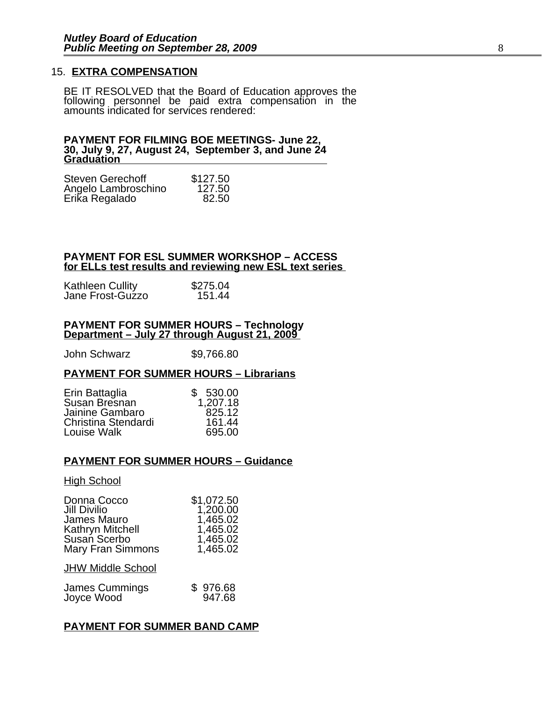# 15. **EXTRA COMPENSATION**

BE IT RESOLVED that the Board of Education approves the following personnel be paid extra compensation in the amounts indicated for services rendered:

#### **PAYMENT FOR FILMING BOE MEETINGS- June 22, 30, July 9, 27, August 24, September 3, and June 24 Graduation**

| <b>Steven Gerechoff</b> | \$127.50 |
|-------------------------|----------|
| Angelo Lambroschino     | 127.50   |
| Erika Regalado          | 82.50    |

### **PAYMENT FOR ESL SUMMER WORKSHOP – ACCESS for ELLs test results and reviewing new ESL text series**

| <b>Kathleen Cullity</b> | \$275.04 |
|-------------------------|----------|
| Jane Frost-Guzzo        | 151.44   |

#### **PAYMENT FOR SUMMER HOURS – Technology Department – July 27 through August 21, 2009**

John Schwarz \$9,766.80

# **PAYMENT FOR SUMMER HOURS – Librarians**

| Erin Battaglia      | \$530.00 |
|---------------------|----------|
| Susan Bresnan       | 1,207.18 |
| Jainine Gambaro     | 825.12   |
| Christina Stendardi | 161.44   |
| Louise Walk         | 695.00   |

#### **PAYMENT FOR SUMMER HOURS – Guidance**

#### High School

| Donna Cocco              | \$1,072.50 |
|--------------------------|------------|
| Jill Divilio             | 1,200.00   |
| James Mauro              | 1,465.02   |
| Kathryn Mitchell         | 1,465.02   |
| Susan Scerbo             | 1,465.02   |
| <b>Mary Fran Simmons</b> | 1,465.02   |

#### **JHW Middle School**

| James Cummings | \$976.68 |
|----------------|----------|
| Joyce Wood     | 947.68   |

### **PAYMENT FOR SUMMER BAND CAMP**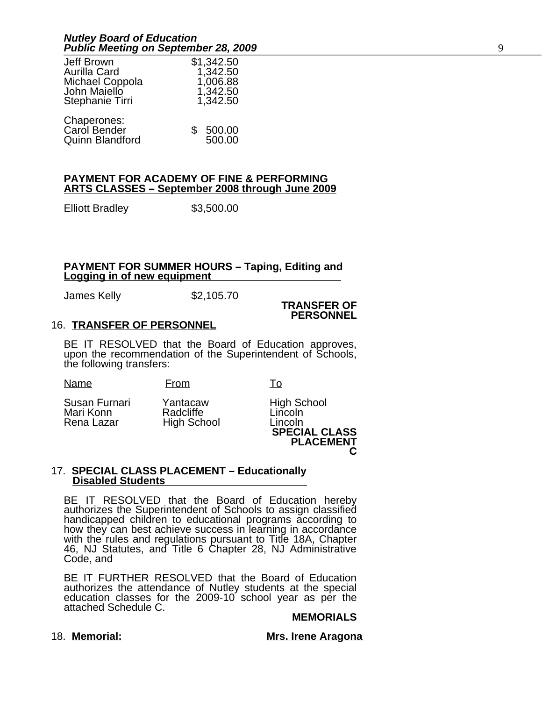| Jeff Brown<br>Aurilla Card<br>Michael Coppola<br>John Maiello<br>Stephanie Tirri | \$1,342.50<br>1,342.50<br>1,006.88<br>1,342.50<br>1,342.50 |
|----------------------------------------------------------------------------------|------------------------------------------------------------|
| Chaperones:<br>Carol Bender<br>Quinn Blandford                                   | \$500.00<br>500.00                                         |

### **PAYMENT FOR ACADEMY OF FINE & PERFORMING ARTS CLASSES – September 2008 through June 2009**

Elliott Bradley \$3,500.00

### **PAYMENT FOR SUMMER HOURS – Taping, Editing and Logging in of new equipment**

James Kelly \$2,105.70

#### **TRANSFER OF PERSONNEL**

# 16. **TRANSFER OF PERSONNEL**

BE IT RESOLVED that the Board of Education approves, upon the recommendation of the Superintendent of Schools, the following transfers:

| Name | From |  |
|------|------|--|
|------|------|--|

Susan Furnari Yantacaw High School Mari Konn Radcliffe Lincoln

High School

**SPECIAL CLASS PLACEMENT C**

### 17. **SPECIAL CLASS PLACEMENT – Educationally Disabled Students**

BE IT RESOLVED that the Board of Education hereby authorizes the Superintendent of Schools to assign classified handicapped children to educational programs according to how they can best achieve success in learning in accordance with the rules and regulations pursuant to Title 18A, Chapter 46, NJ Statutes, and Title 6 Chapter 28, NJ Administrative Code, and

BE IT FURTHER RESOLVED that the Board of Education authorizes the attendance of Nutley students at the special education classes for the 2009-10 school year as per the attached Schedule C.

# **MEMORIALS**

18. **Memorial:** Mrs. Irene Aragona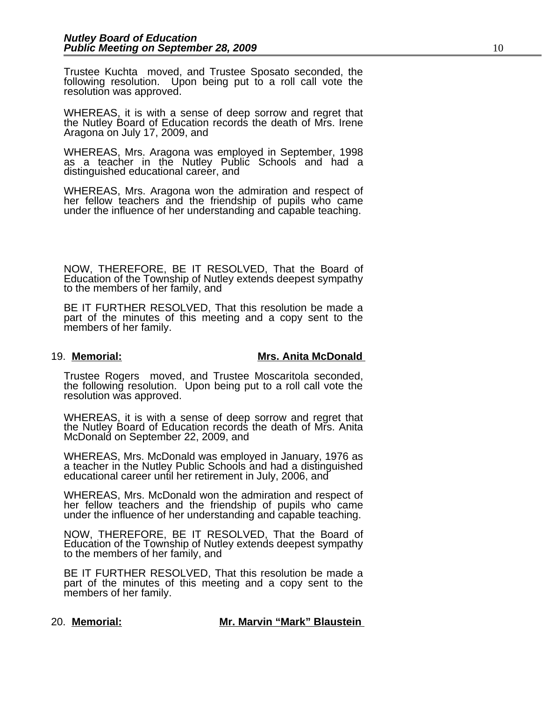Trustee Kuchta moved, and Trustee Sposato seconded, the following resolution. Upon being put to a roll call vote the resolution was approved.

WHEREAS, it is with a sense of deep sorrow and regret that the Nutley Board of Education records the death of Mrs. Irene Aragona on July 17, 2009, and

WHEREAS, Mrs. Aragona was employed in September, 1998 as a teacher in the Nutley Public Schools and had a distinguished educational career, and

WHEREAS, Mrs. Aragona won the admiration and respect of her fellow teachers and the friendship of pupils who came under the influence of her understanding and capable teaching.

NOW, THEREFORE, BE IT RESOLVED, That the Board of Education of the Township of Nutley extends deepest sympathy to the members of her family, and

BE IT FURTHER RESOLVED, That this resolution be made a part of the minutes of this meeting and a copy sent to the members of her family.

# 19. **M emorial: Mrs. Anita McDonald**

Trustee Rogers moved, and Trustee Moscaritola seconded, the following resolution. Upon being put to a roll call vote the resolution was approved.

WHEREAS, it is with a sense of deep sorrow and regret that the Nutley Board of Education records the death of Mrs. Anita McDonald on September 22, 2009, and

WHEREAS, Mrs. McDonald was employed in January, 1976 as a teacher in the Nutley Public Schools and had a distinguished educational career until her retirement in July, 2006, and

WHEREAS, Mrs. McDonald won the admiration and respect of her fellow teachers and the friendship of pupils who came under the influence of her understanding and capable teaching.

NOW, THEREFORE, BE IT RESOLVED, That the Board of Education of the Township of Nutley extends deepest sympathy to the members of her family, and

BE IT FURTHER RESOLVED, That this resolution be made a part of the minutes of this meeting and a copy sent to the members of her family.

#### 20. **M emorial: Mr. Marvin "Mark" Blaustein**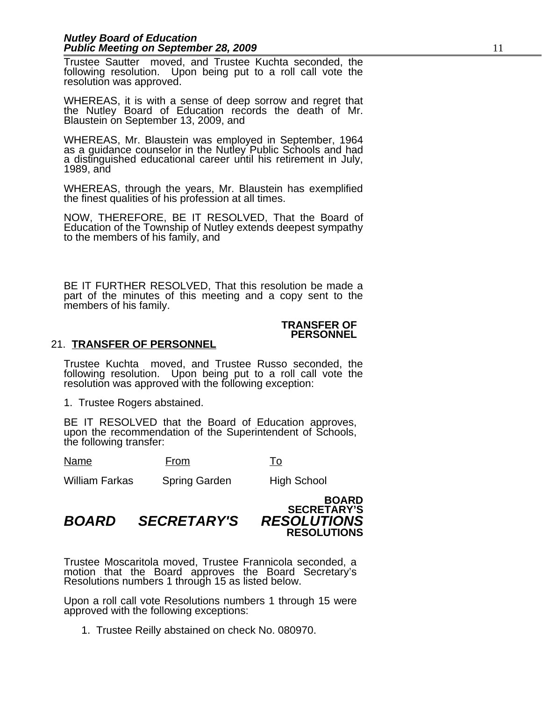Trustee Sautter moved, and Trustee Kuchta seconded, the following resolution. Upon being put to a roll call vote the resolution was approved.

WHEREAS, it is with a sense of deep sorrow and regret that the Nutley Board of Education records the death of Mr. Blaustein on September 13, 2009, and

WHEREAS, Mr. Blaustein was employed in September, 1964 as a guidance counselor in the Nutley Public Schools and had a distinguished educational career until his retirement in July, 1989, and

WHEREAS, through the years, Mr. Blaustein has exemplified the finest qualities of his profession at all times.

NOW, THEREFORE, BE IT RESOLVED, That the Board of Education of the Township of Nutley extends deepest sympathy to the members of his family, and

BE IT FURTHER RESOLVED, That this resolution be made a part of the minutes of this meeting and a copy sent to the members of his family.

### **TRANSFER OF PERSONNEL**

# 21. **TRANSFER OF PERSONNEL**

Trustee Kuchta moved, and Trustee Russo seconded, the following resolution. Upon being put to a roll call vote the resolution was approved with the following exception:

1. Trustee Rogers abstained.

BE IT RESOLVED that the Board of Education approves, upon the recommendation of the Superintendent of Schools, the following transfer:

Name From To

William Farkas Spring Garden High School

# **BOARD SECRETARY'S RESOLUTIONS**

*BOARD SECRETARY'S RESOLUTIONS*

### Trustee Moscaritola moved, Trustee Frannicola seconded, a motion that the Board approves the Board Secretary's Resolutions numbers 1 through 15 as listed below.

Upon a roll call vote Resolutions numbers 1 through 15 were approved with the following exceptions:

1. Trustee Reilly abstained on check No. 080970.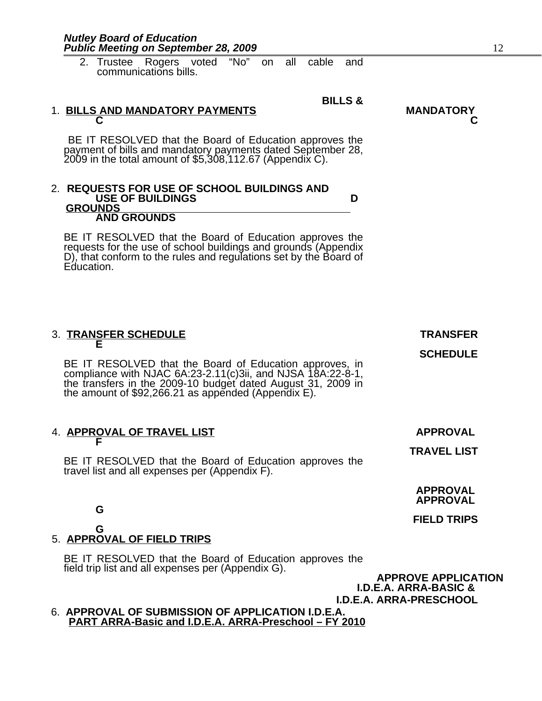| <b>Public Meeting on September 28, 2009</b>                                                                                                                                                                                                                                       | 12                                                                                        |
|-----------------------------------------------------------------------------------------------------------------------------------------------------------------------------------------------------------------------------------------------------------------------------------|-------------------------------------------------------------------------------------------|
| 2. Trustee Rogers voted "No"<br>all<br>cable<br>and<br>on<br>communications bills.                                                                                                                                                                                                |                                                                                           |
| <b>BILLS &amp;</b>                                                                                                                                                                                                                                                                |                                                                                           |
| 1. BILLS AND MANDATORY PAYMENTS                                                                                                                                                                                                                                                   | <b>MANDATORY</b>                                                                          |
| BE IT RESOLVED that the Board of Education approves the<br>payment of bills and mandatory payments dated September 28,<br>2009 in the total amount of \$5,308,112.67 (Appendix C).                                                                                                |                                                                                           |
| 2. REQUESTS FOR USE OF SCHOOL BUILDINGS AND<br><b>USE OF BUILDINGS</b><br>D<br><b>GROUNDS</b><br><b>AND GROUNDS</b>                                                                                                                                                               |                                                                                           |
| BE IT RESOLVED that the Board of Education approves the<br>requests for the use of school buildings and grounds (Appendix<br>D), that conform to the rules and regulations set by the Board of<br>Education.                                                                      |                                                                                           |
| 3. TRANSFER SCHEDULE<br>Е<br>BE IT RESOLVED that the Board of Education approves, in<br>compliance with NJAC $6A:23-2.11(c)3ii$ , and NJSA $18A:22-8-1$ ,<br>the transfers in the 2009-10 budget dated August 31, 2009 in<br>the amount of $$92,266.21$ as appended (Appendix E). | <b>TRANSFER</b><br><b>SCHEDULE</b>                                                        |
| 4. APPROVAL OF TRAVEL LIST<br>BE IT RESOLVED that the Board of Education approves the<br>travel list and all expenses per (Appendix F).                                                                                                                                           | <b>APPROVAL</b><br><b>TRAVEL LIST</b>                                                     |
| G                                                                                                                                                                                                                                                                                 | <b>APPROVAL</b><br><b>APPROVAL</b>                                                        |
|                                                                                                                                                                                                                                                                                   | <b>FIELD TRIPS</b>                                                                        |
| G<br>5. APPROVAL OF FIELD TRIPS                                                                                                                                                                                                                                                   |                                                                                           |
| BE IT RESOLVED that the Board of Education approves the<br>field trip list and all expenses per (Appendix G).                                                                                                                                                                     | <b>APPROVE APPLICATION</b><br><b>I.D.E.A. ARRA-BASIC &amp;</b><br>I.D.E.A. ARRA-PRESCHOOL |
| 6. APPROVAL OF SUBMISSION OF APPLICATION I.D.E.A.<br>PART ARRA-Basic and I.D.E.A. ARRA-Preschool - FY 2010                                                                                                                                                                        |                                                                                           |

*Nutley Board of Education*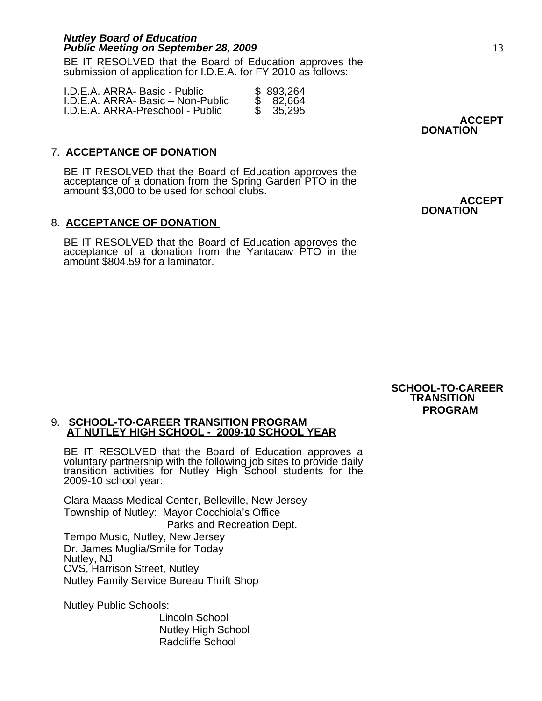BE IT RESOLVED that the Board of Education approves the submission of application for I.D.E.A. for FY 2010 as follows:

| I.D.E.A. ARRA- Basic - Public     | \$893,264 |
|-----------------------------------|-----------|
| I.D.E.A. ARRA- Basic – Non-Public | \$82.664  |
| I.D.E.A. ARRA-Preschool - Public  | \$ 35.295 |

**ACCEPT DONATION**

# 7. **ACCEPTANCE OF DONATION**

BE IT RESOLVED that the Board of Education approves the acceptance of a donation from the Spring Garden PTO in the amount \$3,000 to be used for school clubs.

# 8. **ACCEPTANCE OF DONATION**

BE IT RESOLVED that the Board of Education approves the acceptance of a donation from the Yantacaw PTO in the amount \$804.59 for a laminator.

**ACCEPT DONATION**

**SCHOOL-TO-CAREER TRANSITION PROGRAM**

### 9. **SCHOOL-TO-CAREER TRANSITION PROGRAM AT NUTLEY HIGH SCHOOL - 2009-10 SCHOOL YEAR**

BE IT RESOLVED that the Board of Education approves a voluntary partnership with the following job sites to provide daily transition activities for Nutley High School students for the 2009-10 school year:

Clara Maass Medical Center, Belleville, New Jersey Township of Nutley: Mayor Cocchiola's Office Parks and Recreation Dept. Tempo Music, Nutley, New Jersey Dr. James Muglia/Smile for Today Nutley, NJ CVS, Harrison Street, Nutley Nutley Family Service Bureau Thrift Shop

Nutley Public Schools:

Lincoln School Nutley High School Radcliffe School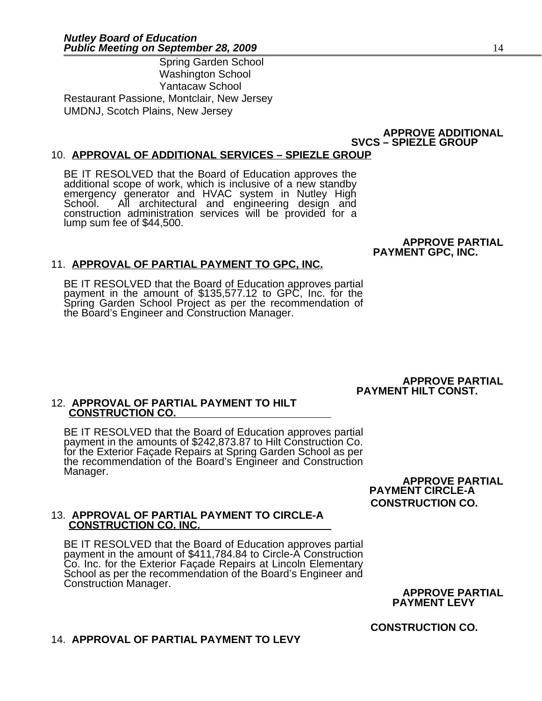Spring Garden School Washington School Yantacaw School Restaurant Passione, Montclair, New Jersey UMDNJ, Scotch Plains, New Jersey

# **APPROVE ADDITIONAL SVCS – SPIEZLE GROUP**

# 10. **APPROVAL OF ADDITIONAL SERVICES – SPIEZLE GROUP**

BE IT RESOLVED that the Board of Education approves the additional scope of work, which is inclusive of a new standby emergency generator and HVAC system in Nutley High All architectural and engineering design and construction administration services will be provided for a lump sum fee of \$44,500.

#### **APPROVE PARTIAL PAYMENT GPC, INC.**

# 11. **APPROVAL OF PARTIAL PAYMENT TO GPC, INC.**

BE IT RESOLVED that the Board of Education approves partial payment in the amount of \$135,577.12 to GPC, Inc. for the Spring Garden School Project as per the recommendation of the Board's Engineer and Construction Manager.

> **APPROVE PARTIAL PAYMENT HILT CONST.**

### 12. **APPROVAL OF PARTIAL PAYMENT TO HILT CONSTRUCTION CO.**

BE IT RESOLVED that the Board of Education approves partial payment in the amounts of \$242,873.87 to Hilt Construction Co. for the Exterior Façade Repairs at Spring Garden School as per the recommendation of the Board's Engineer and Construction Manager.

**APPROVE PARTIAL PAYMENT CIRCLE-A CONSTRUCTION CO.**

#### 13. **APPROVAL OF PARTIAL PAYMENT TO CIRCLE-A CONSTRUCTION CO. INC.**

BE IT RESOLVED that the Board of Education approves partial payment in the amount of \$411,784.84 to Circle-A Construction Co. Inc. for the Exterior Façade Repairs at Lincoln Elementary School as per the recommendation of the Board's Engineer and Construction Manager.

**APPROVE PARTIAL PAYMENT LEVY** 

**CONSTRUCTION CO.**

# 14. **APPROVAL OF PARTIAL PAYMENT TO LEVY**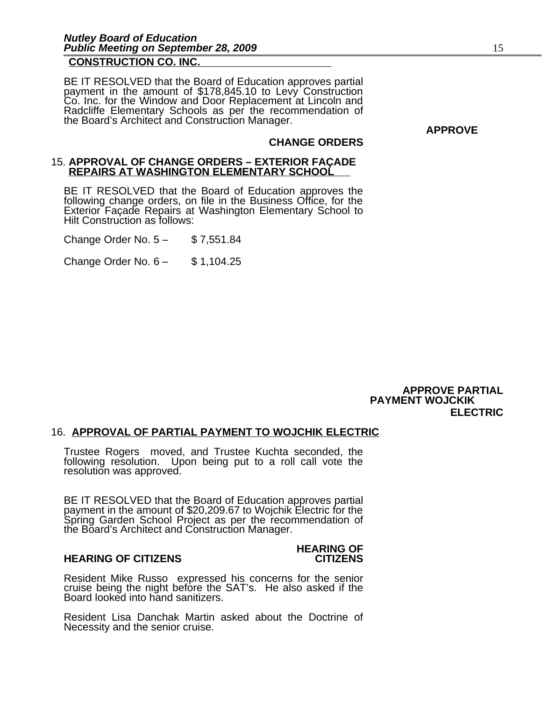# **CONSTRUCTION CO. INC.**

BE IT RESOLVED that the Board of Education approves partial payment in the amount of \$178,845.10 to Levy Construction Co. Inc. for the Window and Door Replacement at Lincoln and Radcliffe Elementary Schools as per the recommendation of the Board's Architect and Construction Manager.

**APPROVE**

# **CHANGE ORDERS**

#### 15. **APPROVAL OF CHANGE ORDERS – EXTERIOR FAÇADE REPAIRS AT WASHINGTON ELEMENTARY SCHOOL**

BE IT RESOLVED that the Board of Education approves the following change orders, on file in the Business Office, for the Exterior Façade Repairs at Washington Elementary School to Hilt Construction as follows:

Change Order No. 5 – \$ 7,551.84

Change Order No.  $6 -$ \$ 1,104.25

**APPROVE PARTIAL PAYMENT WOJCKIK ELECTRIC**

# 16. **APPROVAL OF PARTIAL PAYMENT TO WOJCHIK ELECTRIC**

Trustee Rogers moved, and Trustee Kuchta seconded, the following resolution. Upon being put to a roll call vote the resolution was approved.

BE IT RESOLVED that the Board of Education approves partial payment in the amount of \$20,209.67 to Wojchik Electric for the Spring Garden School Project as per the recommendation of the Board's Architect and Construction Manager.

#### **HEARING OF CITIZENS CITIZENS**

# **HEARING OF**

Resident Mike Russo expressed his concerns for the senior cruise being the night before the SAT's. He also asked if the Board looked into hand sanitizers.

Resident Lisa Danchak Martin asked about the Doctrine of Necessity and the senior cruise.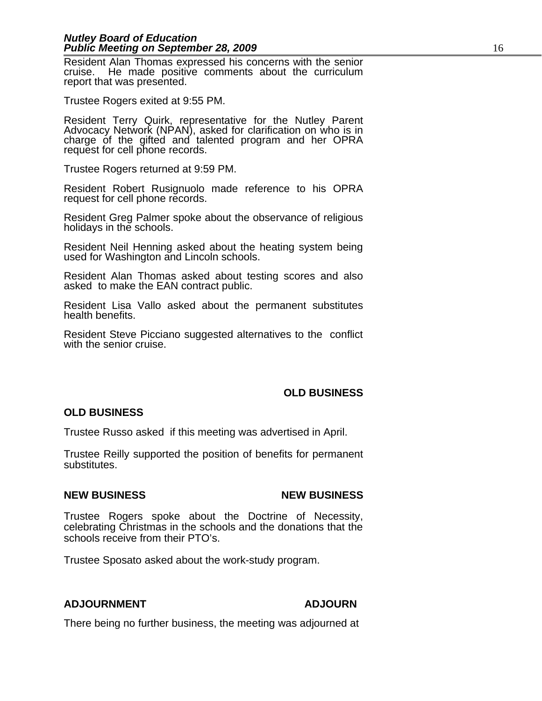Resident Alan Thomas expressed his concerns with the senior cruise. He made positive comments about the curriculum report that was presented.

Trustee Rogers exited at 9:55 PM.

Resident Terry Quirk, representative for the Nutley Parent Advocacy Network (NPAN), asked for clarification on who is in charge of the gifted and talented program and her OPRA request for cell phone records.

Trustee Rogers returned at 9:59 PM.

Resident Robert Rusignuolo made reference to his OPRA request for cell phone records.

Resident Greg Palmer spoke about the observance of religious holidays in the schools.

Resident Neil Henning asked about the heating system being used for Washington and Lincoln schools.

Resident Alan Thomas asked about testing scores and also asked to make the EAN contract public.

Resident Lisa Vallo asked about the permanent substitutes health benefits.

Resident Steve Picciano suggested alternatives to the conflict with the senior cruise.

# **OLD BUSINESS**

# **OLD BUSINESS**

Trustee Russo asked if this meeting was advertised in April.

Trustee Reilly supported the position of benefits for permanent substitutes.

# **NEW BUSINESS NEW BUSINESS**

Trustee Rogers spoke about the Doctrine of Necessity, celebrating Christmas in the schools and the donations that the schools receive from their PTO's.

Trustee Sposato asked about the work-study program.

# **ADJOURNMENT ADJOURN**

There being no further business, the meeting was adjourned at